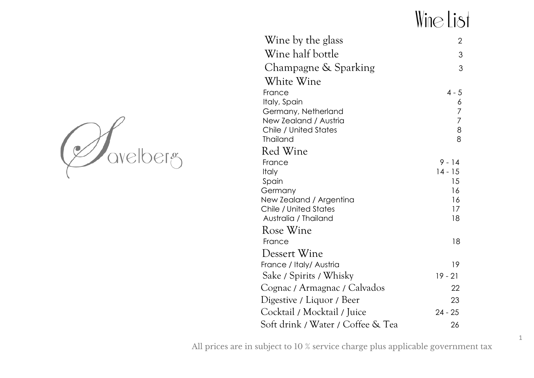# Wine List

| avelberg |
|----------|
|          |

| Wine by the glass                        | $\overline{2}$ |
|------------------------------------------|----------------|
| Wine half bottle                         | 3              |
| Champagne & Sparking                     | 3              |
| White Wine                               |                |
| France                                   | $4 - 5$        |
| Italy, Spain                             | 6              |
| Germany, Netherland                      | $\overline{7}$ |
| New Zealand / Austria                    | $\overline{7}$ |
| Chile / United States<br><b>Thailand</b> | $\,8\,$<br>8   |
| Red Wine                                 |                |
| France                                   | $9 - 14$       |
| <b>Italy</b>                             | $14 - 15$      |
| Spain                                    | 15             |
| Germany                                  | 16             |
| New Zealand / Argentina                  | 16             |
| Chile / United States                    | 17             |
| Australia / Thailand                     | 18             |
| Rose Wine                                |                |
| France                                   | 18             |
| Dessert Wine                             |                |
| France / Italy/ Austria                  | 19             |
| Sake / Spirits / Whisky                  | $19 - 21$      |
| Cognac / Armagnac / Calvados             | 22             |
| Digestive / Liquor / Beer                | 23             |
| Cocktail / Mocktail / Juice              | $24 - 25$      |
| Soft drink / Water / Coffee & Tea        | 26             |
|                                          |                |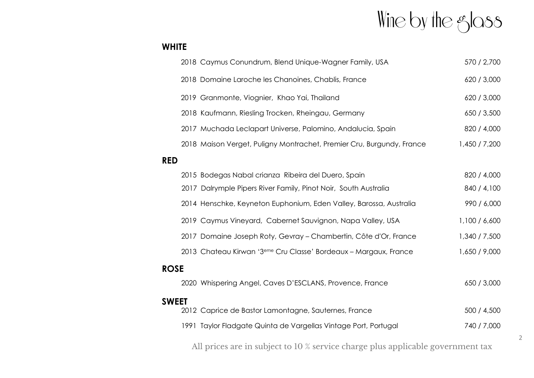# Wine by the glass

### **WHITE**

|             | 2018 Caymus Conundrum, Blend Unique-Wagner Family, USA                       | 570 / 2,700   |  |
|-------------|------------------------------------------------------------------------------|---------------|--|
|             | 2018 Domaine Laroche les Chanoines, Chablis, France                          | 620 / 3,000   |  |
|             | 2019 Granmonte, Viognier, Khao Yai, Thailand                                 | 620 / 3,000   |  |
|             | 2018 Kaufmann, Riesling Trocken, Rheingau, Germany                           | 650 / 3,500   |  |
|             | 2017 Muchada Leclapart Universe, Palomino, Andalucia, Spain                  | 820 / 4,000   |  |
|             | 2018 Maison Verget, Puligny Montrachet, Premier Cru, Burgundy, France        | 1,450 / 7,200 |  |
| <b>RED</b>  |                                                                              |               |  |
|             | 2015 Bodegas Nabal crianza Ribeira del Duero, Spain                          | 820 / 4,000   |  |
|             | 2017 Dalrymple Pipers River Family, Pinot Noir, South Australia              | 840 / 4,100   |  |
|             | 2014 Henschke, Keyneton Euphonium, Eden Valley, Barossa, Australia           | 990 / 6,000   |  |
|             | 2019 Caymus Vineyard, Cabernet Sauvignon, Napa Valley, USA                   | 1,100 / 6,600 |  |
|             | 2017 Domaine Joseph Roty, Gevray - Chambertin, Côte d'Or, France             | 1,340 / 7,500 |  |
|             | 2013 Chateau Kirwan '3 <sup>eme</sup> Cru Classe' Bordeaux - Margaux, France | 1,650 / 9,000 |  |
| <b>ROSE</b> |                                                                              |               |  |
|             | 2020 Whispering Angel, Caves D'ESCLANS, Provence, France                     | 650 / 3,000   |  |
| SWEET       |                                                                              |               |  |
|             | 2012 Caprice de Bastor Lamontagne, Sauternes, France                         | 500 / 4,500   |  |
|             | 1991 Taylor Fladgate Quinta de Vargellas Vintage Port, Portugal              | 740 / 7,000   |  |
|             |                                                                              |               |  |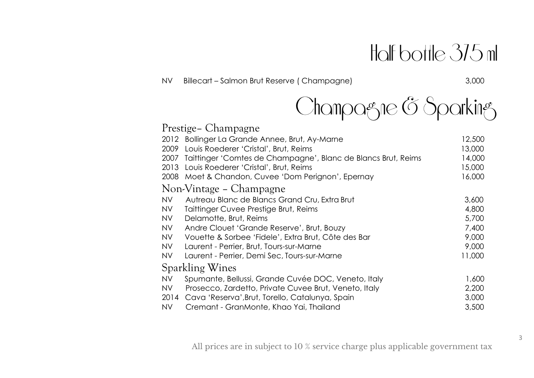# Holf bottle 375 ml

NV Billecart – Salmon Brut Reserve (Champagne) 3,000



|           | Prestige – Champagne                                          |        |
|-----------|---------------------------------------------------------------|--------|
|           | 2012 Bollinger La Grande Annee, Brut, Ay-Marne                | 12,500 |
| 2009      | Louis Roederer 'Cristal', Brut, Reims                         | 13,000 |
| 2007      | Taittinger 'Comtes de Champagne', Blanc de Blancs Brut, Reims | 14,000 |
| 2013      | Louis Roederer 'Cristal', Brut, Reims                         | 15,000 |
|           | 2008 Moet & Chandon, Cuvee 'Dom Perignon', Epernay            | 16,000 |
|           | Non-Vintage – Champagne                                       |        |
| <b>NV</b> | Autreau Blanc de Blancs Grand Cru, Extra Brut                 | 3,600  |
| <b>NV</b> | Taittinger Cuvee Prestige Brut, Reims                         | 4,800  |
| NV        | Delamotte, Brut, Reims                                        | 5,700  |
| <b>NV</b> | Andre Clouet 'Grande Reserve', Brut, Bouzy                    | 7,400  |
| NV        | Vouette & Sorbee 'Fidele', Extra Brut, Côte des Bar           | 9,000  |
| NV        | Laurent - Perrier, Brut, Tours-sur-Marne                      | 9,000  |
| NV        | Laurent - Perrier, Demi Sec, Tours-sur-Marne                  | 11,000 |
|           | Sparkling Wines                                               |        |
| <b>NV</b> | Spumante, Bellussi, Grande Cuvée DOC, Veneto, Italy           | 1,600  |
| NV        | Prosecco, Zardetto, Private Cuvee Brut, Veneto, Italy         | 2,200  |
| 2014      | Cava 'Reserva', Brut, Torello, Catalunya, Spain               | 3,000  |
| NV        | Cremant - GranMonte, Khao Yai, Thailand                       | 3,500  |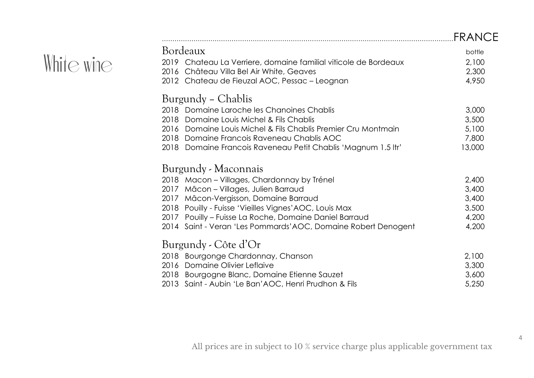|            |                                                                 | <b>FRANCE</b> |
|------------|-----------------------------------------------------------------|---------------|
|            | Bordeaux                                                        | bottle        |
| White wine | 2019 Chateau La Verriere, domaine familial viticole de Bordeaux | 2,100         |
|            | 2016 Château Villa Bel Air White, Geaves                        | 2,300         |
|            | 2012 Chateau de Fieuzal AOC, Pessac - Leognan                   | 4,950         |
|            | Burgundy – Chablis                                              |               |
|            | 2018 Domaine Laroche les Chanoines Chablis                      | 3,000         |
|            | Domaine Louis Michel & Fils Chablis<br>2018                     | 3,500         |
|            | 2016 Domaine Louis Michel & Fils Chablis Premier Cru Montmain   | 5,100         |
|            | 2018 Domaine Francois Raveneau Chablis AOC                      | 7,800         |
|            | 2018 Domaine Francois Raveneau Petit Chablis 'Magnum 1.5 ltr'   | 13,000        |
|            | Burgundy - Maconnais                                            |               |
|            | 2018 Macon - Villages, Chardonnay by Trénel                     | 2,400         |
|            | 2017 Mâcon - Villages, Julien Barraud                           | 3,400         |
|            | 2017 Mâcon-Vergisson, Domaine Barraud                           | 3,400         |
|            | 2018 Pouilly - Fuisse 'Vieilles Vignes' AOC, Louis Max          | 3,500         |
|            | 2017 Pouilly - Fuisse La Roche, Domaine Daniel Barraud          | 4,200         |
|            | 2014 Saint - Veran 'Les Pommards' AOC, Domaine Robert Denogent  | 4,200         |
|            | Burgundy - Côte d'Or                                            |               |
|            | 2018 Bourgonge Chardonnay, Chanson                              | 2,100         |
|            | Domaine Olivier Leflaive<br>2016                                | 3,300         |
|            | 2018 Bourgogne Blanc, Domaine Etienne Sauzet                    | 3,600         |
|            | 2013 Saint - Aubin 'Le Ban'AOC, Henri Prudhon & Fils            | 5,250         |
|            |                                                                 |               |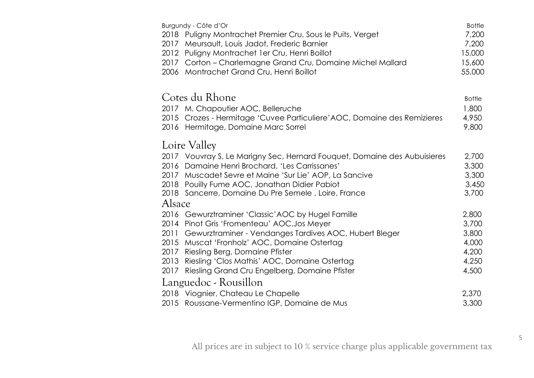| Burgundy - Côte d'Or<br>2018 Puligny Montrachet Premier Cru, Sous le Puits, Verget<br>Meursault, Louis Jadot, Frederic Barnier<br>2017<br>2012<br>Puligny Montrachet 1er Cru, Henri Boillot<br>2017 Corton - Charlemagne Grand Cru, Domaine Michel Mallard<br>Montrachet Grand Cru, Henri Boillot<br>2006                                                                         | <b>Bottle</b><br>7,200<br>7,200<br>15,000<br>15,600<br>55,000 |
|-----------------------------------------------------------------------------------------------------------------------------------------------------------------------------------------------------------------------------------------------------------------------------------------------------------------------------------------------------------------------------------|---------------------------------------------------------------|
| Cotes du Rhone<br>2017 M. Chapoutier AOC, Belleruche<br>2015 Crozes - Hermitage 'Cuvee Particuliere' AOC, Domaine des Remizieres<br>2016 Hermitage, Domaine Marc Sorrel                                                                                                                                                                                                           | <b>Bottle</b><br>1,800<br>4,950<br>9,800                      |
| Loire Valley<br>2017 Vouvray S, Le Marigny Sec, Hernard Fouquet, Domaine des Aubuisieres<br>2016 Damaine Henri Brochard, 'Les Carrissanes'<br>2017 Muscadet Sevre et Maine 'Sur Lie' AOP, La Sancive<br>2018 Pouilly Fume AOC, Jonathan Didier Pabiot<br>2018 Sancerre, Domaine Du Pre Semele, Loire, France<br>Alsace                                                            | 2,700<br>3,300<br>3,300<br>3,450<br>3,700                     |
| 2016 Gewurztraminer 'Classic' AOC by Hugel Famille<br>2014 Pinot Gris 'Fromenteau' AOC, Jos Meyer<br>Gewurztraminer - Vendanges Tardives AOC, Hubert Bleger<br>2011<br>2015<br>Muscat 'Fronholz' AOC, Domaine Ostertag<br>2017<br>Riesling Berg, Domaine Pfister<br>Riesling 'Clos Mathis' AOC, Domaine Ostertag<br>2013<br>2017<br>Riesling Grand Cru Engelberg, Domaine Pfister | 2,800<br>3,700<br>3,800<br>4,000<br>4,200<br>4,250<br>4,500   |
| Languedoc - Rousillon<br>2018 Viognier, Chateau Le Chapelle<br>2015 Roussane-Vermentino IGP, Domaine de Mus                                                                                                                                                                                                                                                                       | 2,370<br>3,300                                                |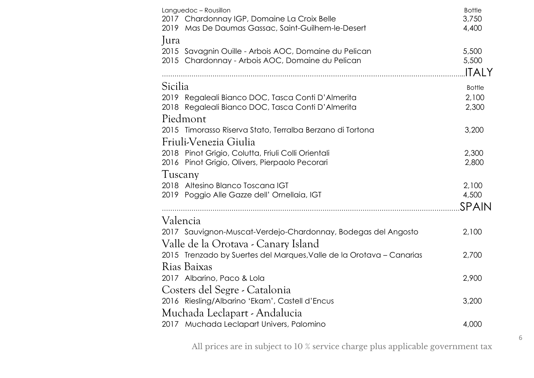|         | Languedoc - Rousillon                                                | <b>Bottle</b> |
|---------|----------------------------------------------------------------------|---------------|
|         | 2017 Chardonnay IGP, Domaine La Croix Belle                          | 3,750         |
|         | 2019 Mas De Daumas Gassac, Saint-Guilhem-le-Desert                   | 4,400         |
| Jura    |                                                                      |               |
|         | 2015 Savagnin Ouille - Arbois AOC, Domaine du Pelican                | 5,500         |
|         | 2015 Chardonnay - Arbois AOC, Domaine du Pelican                     | 5,500         |
|         |                                                                      | <b>ITALY</b>  |
| Sicilia |                                                                      | <b>Bottle</b> |
|         | 2019 Regaleali Bianco DOC, Tasca Conti D'Almerita                    | 2,100         |
|         | 2018 Regaleali Bianco DOC, Tasca Conti D'Almerita                    | 2,300         |
|         | Piedmont                                                             |               |
|         | 2015 Timorasso Riserva Stato, Terralba Berzano di Tortona            | 3,200         |
|         | Friuli-Venezia Giulia                                                |               |
|         | 2018 Pinot Grigio, Colutta, Friuli Colli Orientali                   | 2,300         |
|         | 2016 Pinot Grigio, Olivers, Pierpaolo Pecorari                       | 2,800         |
| Tuscany |                                                                      |               |
|         | 2018 Altesino Blanco Toscana IGT                                     | 2,100         |
|         | 2019 Poggio Alle Gazze dell' Ornellaia, IGT                          | 4,500         |
|         |                                                                      | SPAIN         |
|         | Valencia                                                             |               |
|         | 2017 Sauvignon-Muscat-Verdejo-Chardonnay, Bodegas del Angosto        | 2,100         |
|         | Valle de la Orotava - Canary Island                                  |               |
|         | 2015 Trenzado by Suertes del Marques, Valle de la Orotava - Canarias | 2,700         |
|         | Rias Baixas                                                          |               |
|         | 2017 Albarino, Paco & Lola                                           | 2,900         |
|         | Costers del Segre - Catalonia                                        |               |
|         | 2016 Riesling/Albarino 'Ekam', Castell d'Encus                       | 3,200         |
|         | Muchada Leclapart - Andalucia                                        |               |
|         | 2017 Muchada Leclapart Univers, Palomino                             | 4,000         |

6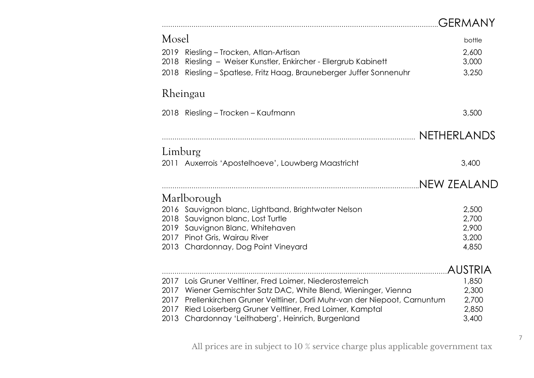|                      |                                                                                                                                                                                                                                                                                                                             | <b>GERMANY</b>                            |
|----------------------|-----------------------------------------------------------------------------------------------------------------------------------------------------------------------------------------------------------------------------------------------------------------------------------------------------------------------------|-------------------------------------------|
| Mosel                |                                                                                                                                                                                                                                                                                                                             | bottle                                    |
| 2019<br>2018<br>2018 | Riesling – Trocken, Atlan-Artisan<br>Riesling - Weiser Kunstler, Enkircher - Ellergrub Kabinett<br>Riesling - Spatlese, Fritz Haag, Brauneberger Juffer Sonnenuhr                                                                                                                                                           | 2,600<br>3,000<br>3,250                   |
|                      | Rheingau                                                                                                                                                                                                                                                                                                                    |                                           |
|                      | 2018 Riesling - Trocken - Kaufmann                                                                                                                                                                                                                                                                                          | 3,500                                     |
|                      |                                                                                                                                                                                                                                                                                                                             | NETHERLANDS                               |
| Limburg              |                                                                                                                                                                                                                                                                                                                             |                                           |
|                      | 2011 Auxerrois 'Apostelhoeve', Louwberg Maastricht                                                                                                                                                                                                                                                                          | 3,400                                     |
|                      |                                                                                                                                                                                                                                                                                                                             | <b>NEW ZEALAND</b>                        |
|                      | Marlborough                                                                                                                                                                                                                                                                                                                 |                                           |
| 2018                 | 2016 Sauvignon blanc, Lightband, Brightwater Nelson<br>Sauvignon blanc, Lost Turtle<br>2019 Sauvignon Blanc, Whitehaven<br>2017 Pinot Gris, Wairau River<br>2013 Chardonnay, Dog Point Vineyard                                                                                                                             | 2,500<br>2,700<br>2,900<br>3,200<br>4,850 |
|                      |                                                                                                                                                                                                                                                                                                                             | <b>AUSTRIA</b>                            |
| 2013                 | 2017 Lois Gruner Veltliner, Fred Loimer, Niederosterreich<br>2017 Wiener Gemischter Satz DAC, White Blend, Wieninger, Vienna<br>2017 Prellenkirchen Gruner Veltliner, Dorli Muhr-van der Niepoot, Carnuntum<br>2017 Ried Loiserberg Gruner Veltliner, Fred Loimer, Kamptal<br>Chardonnay 'Leithaberg', Heinrich, Burgenland | 1,850<br>2,300<br>2,700<br>2,850<br>3,400 |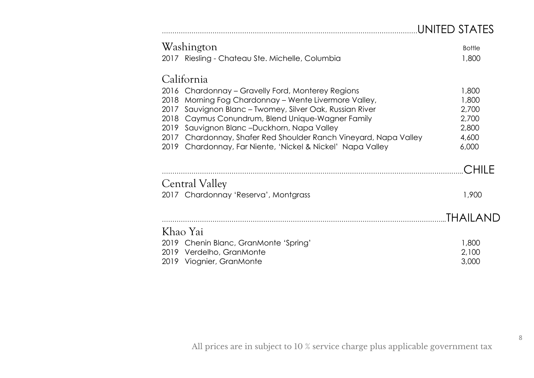## ………………………………………………………………………………………………………….UNITED STATES

|      | Washington                                                  | <b>Bottle</b> |
|------|-------------------------------------------------------------|---------------|
|      | 2017 Riesling - Chateau Ste. Michelle, Columbia             | 1,800         |
|      | California                                                  |               |
| 2016 | Chardonnay – Gravelly Ford, Monterey Regions                | 1,800         |
| 2018 | Morning Fog Chardonnay - Wente Livermore Valley,            | 1,800         |
| 2017 | Sauvignon Blanc - Twomey, Silver Oak, Russian River         | 2,700         |
| 2018 | Caymus Conundrum, Blend Unique-Wagner Family                | 2,700         |
| 2019 | Sauvignon Blanc -Duckhorn, Napa Valley                      | 2,800         |
| 2017 | Chardonnay, Shafer Red Shoulder Ranch Vineyard, Napa Valley | 4,600         |
| 2019 | Chardonnay, Far Niente, 'Nickel & Nickel' Napa Valley       | 6,000         |
|      |                                                             | CHII F        |
|      | <b>Central Valley</b>                                       |               |
|      | 2017 Chardonnay 'Reserva', Montgrass                        | 1,900         |
|      |                                                             | THAILAND      |
|      | Khao Yai                                                    |               |
|      | 2019 Chenin Blanc, GranMonte 'Spring'                       | 1,800         |
|      | 2019 Verdelho, GranMonte                                    | 2,100         |
|      | 2019 Viognier, GranMonte                                    | 3,000         |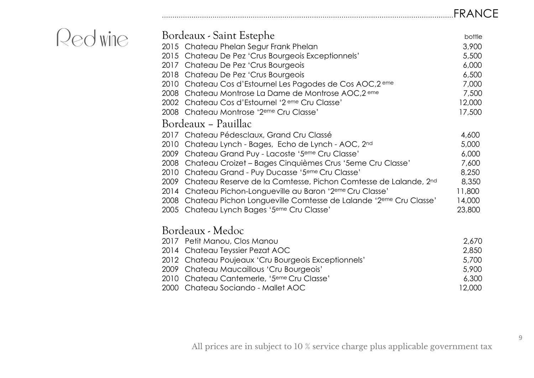## …………………………………………………………………………………………………………………………FRANCE

| Bordeaux - Saint Estephe                                                          | bottle |
|-----------------------------------------------------------------------------------|--------|
| 2015 Chateau Phelan Segur Frank Phelan                                            | 3,900  |
| 2015 Chateau De Pez 'Crus Bourgeois Exceptionnels'                                | 5,500  |
| 2017 Chateau De Pez 'Crus Bourgeois                                               | 6,000  |
| 2018 Chateau De Pez 'Crus Bourgeois                                               | 6,500  |
| 2010 Chateau Cos d'Estournel Les Pagodes de Cos AOC, 2 eme                        | 7,000  |
| 2008 Chateau Montrose La Dame de Montrose AOC,2 eme                               | 7,500  |
| 2002 Chateau Cos d'Estournel '2 <sup>eme</sup> Cru Classe'                        | 12,000 |
| 2008 Chateau Montrose '2 <sup>eme</sup> Cru Classe'                               | 17,500 |
| Bordeaux - Pauillac                                                               |        |
| 2017 Chateau Pédesclaux, Grand Cru Classé                                         | 4,600  |
| 2010 Chateau Lynch - Bages, Echo de Lynch - AOC, 2nd                              | 5,000  |
| 2009 Chateau Grand Puy - Lacoste '5 <sup>eme</sup> Cru Classe'                    | 6,000  |
| 2008 Chateau Croizet - Bages Cinquièmes Crus '5eme Cru Classe'                    | 7,600  |
| 2010 Chateau Grand - Puy Ducasse '5 <sup>eme</sup> Cru Classe'                    | 8,250  |
| 2009 Chateau Reserve de la Comtesse, Pichon Comtesse de Lalande, 2nd              | 8,350  |
| 2014 Chateau Pichon-Longueville au Baron '2 <sup>eme</sup> Cru Classe'            | 11,800 |
| 2008 Chateau Pichon Longueville Comtesse de Lalande '2 <sup>eme</sup> Cru Classe' | 14,000 |
| 2005 Chateau Lynch Bages '5 <sup>eme</sup> Cru Classe'                            | 23,800 |
| Bordeaux - Medoc                                                                  |        |
| 2017 Petit Manou, Clos Manou                                                      | 2,670  |
| 2014 Chateau Teyssier Pezat AOC                                                   | 2,850  |
| 2012 Chateau Poujeaux 'Cru Bourgeois Exceptionnels'                               | 5,700  |
| 2009 Chateau Maucaillous 'Cru Bourgeois'                                          | 5,900  |
| 2010 Chateau Cantemerle, '5 <sup>eme</sup> Cru Classe'                            | 6,300  |
| 2000 Chateau Sociando - Mallet AOC                                                | 12,000 |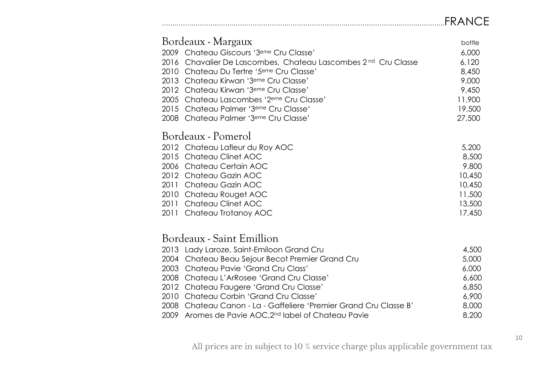## ……………………………………………………………………………………………………………………..FRANCE

| Bordeaux - Margaux<br>2009 Chateau Giscours '3 <sup>eme</sup> Cru Classe'<br>2016<br>Chavalier De Lascombes, Chateau Lascombes 2 <sup>nd</sup> Cru Classe<br>2010 Chateau Du Tertre '5 <sup>eme</sup> Cru Classe'<br>2013 Chateau Kirwan '3 <sup>eme</sup> Cru Classe'<br>2012 Chateau Kirwan '3 <sup>eme</sup> Cru Classe'<br>Chateau Lascombes '2 <sup>eme</sup> Cru Classe'<br>2005 | bottle<br>6,000<br>6,120<br>8,450<br>9,000<br>9,450<br>11,900             |
|----------------------------------------------------------------------------------------------------------------------------------------------------------------------------------------------------------------------------------------------------------------------------------------------------------------------------------------------------------------------------------------|---------------------------------------------------------------------------|
| 2015 Chateau Palmer '3 <sup>eme</sup> Cru Classe'<br>2008 Chateau Palmer '3 <sup>eme</sup> Cru Classe'                                                                                                                                                                                                                                                                                 | 19,500<br>27,500                                                          |
|                                                                                                                                                                                                                                                                                                                                                                                        |                                                                           |
| Bordeaux - Pomerol<br>2012 Chateau Lafleur du Roy AOC<br>2015<br>Chateau Clinet AOC<br>2006 Chateau Certain AOC<br>2012 Chateau Gazin AOC<br>2011 Chateau Gazin AOC<br>2010 Chateau Rouget AOC<br>Chateau Clinet AOC<br>2011<br>2011 Chateau Trotanoy AOC                                                                                                                              | 5,200<br>8,500<br>9,800<br>10,450<br>10,450<br>11,500<br>13,500<br>17,450 |
| Bordeaux - Saint Emillion                                                                                                                                                                                                                                                                                                                                                              |                                                                           |
| Lady Laroze, Saint-Emiloon Grand Cru<br>2013<br>2004<br>Chateau Beau Sejour Becot Premier Grand Cru                                                                                                                                                                                                                                                                                    | 4,500<br>5,000                                                            |
| 2003<br>Chateau Pavie 'Grand Cru Class'                                                                                                                                                                                                                                                                                                                                                | 6,000                                                                     |
| 2008 Chateau L'ArRosee 'Grand Cru Classe'                                                                                                                                                                                                                                                                                                                                              | 6,600                                                                     |
| Chateau Faugere 'Grand Cru Classe'<br>2012                                                                                                                                                                                                                                                                                                                                             | 6,850                                                                     |
| 2010<br>Chateau Corbin 'Grand Cru Classe'                                                                                                                                                                                                                                                                                                                                              | 6,900                                                                     |
| Chateau Canon - La - Gaffeliere 'Premier Grand Cru Classe B'<br>2008                                                                                                                                                                                                                                                                                                                   | 8,000                                                                     |
| 2009 Aromes de Pavie AOC, 2nd label of Chateau Pavie                                                                                                                                                                                                                                                                                                                                   | 8,200                                                                     |

All prices are in subject to 10 % service charge plus applicable government tax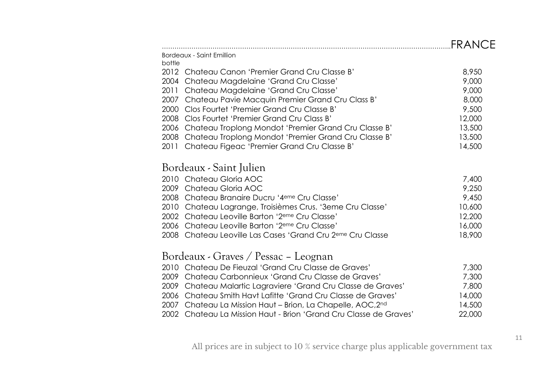|                                                                        | FRANCE |
|------------------------------------------------------------------------|--------|
| <b>Bordeaux - Saint Emillion</b><br>bottle                             |        |
| Chateau Canon 'Premier Grand Cru Classe B'<br>2012                     | 8,950  |
| Chateau Magdelaine 'Grand Cru Classe'<br>2004                          | 9,000  |
| Chateau Magdelaine 'Grand Cru Classe'<br>2011                          | 9,000  |
| Chateau Pavie Macquin Premier Grand Cru Class B'<br>2007               | 8,000  |
| Clos Fourtet 'Premier Grand Cru Classe B'<br>2000                      | 9,500  |
| Clos Fourtet 'Premier Grand Cru Class B'<br>2008                       | 12,000 |
| Chateau Troplong Mondot 'Premier Grand Cru Classe B'<br>2006           | 13,500 |
| Chateau Troplong Mondot 'Premier Grand Cru Classe B'<br>2008           | 13,500 |
| Chateau Figeac 'Premier Grand Cru Classe B'<br>2011                    | 14,500 |
| Bordeaux - Saint Julien                                                |        |
| 2010 Chateau Gloria AOC                                                | 7,400  |
| Chateau Gloria AOC<br>2009                                             | 9,250  |
| 2008 Chateau Branaire Ducru '4 <sup>eme</sup> Cru Classe'              | 9,450  |
| 2010<br>Chateau Lagrange, Troisièmes Crus. '3eme Cru Classe'           | 10,600 |
| 2002 Chateau Leoville Barton '2 <sup>eme</sup> Cru Classe'             | 12,200 |
| Chateau Leoville Barton '2 <sup>eme</sup> Cru Classe'<br>2006          | 16,000 |
| 2008 Chateau Leoville Las Cases 'Grand Cru 2 <sup>eme</sup> Cru Classe | 18,900 |
| Bordeaux - Graves / Pessac – Leognan                                   |        |
| Chateau De Fieuzal 'Grand Cru Classe de Graves'<br>2010                | 7,300  |
| Chateau Carbonnieux 'Grand Cru Classe de Graves'<br>2009               | 7,300  |
| Chateau Malartic Lagraviere 'Grand Cru Classe de Graves'<br>2009       | 7,800  |
| Chateau Smith Havt Lafitte 'Grand Cru Classe de Graves'<br>2006        | 14,000 |
| Chateau La Mission Haut - Brion, La Chapelle, AOC, 2nd<br>2007         | 14,500 |
| 2002 Chateau La Mission Haut - Brion 'Grand Cru Classe de Graves'      | 22,000 |
|                                                                        |        |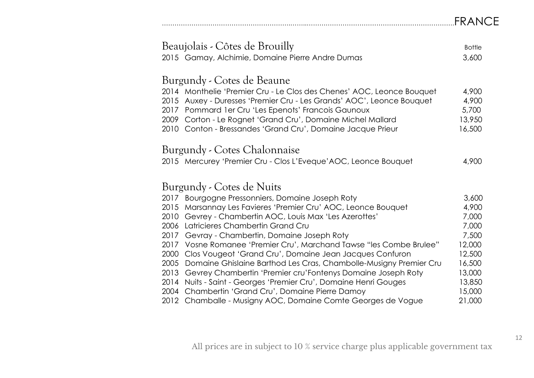## …………………………………………………….……..…………………………………………………………….FRANCE

| Beaujolais - Côtes de Brouilly |                                                                       | <b>Bottle</b> |
|--------------------------------|-----------------------------------------------------------------------|---------------|
|                                | 2015 Gamay, Alchimie, Domaine Pierre Andre Dumas                      | 3,600         |
|                                |                                                                       |               |
|                                | Burgundy - Cotes de Beaune                                            |               |
|                                | 2014 Monthelie 'Premier Cru - Le Clos des Chenes' AOC, Leonce Bouquet | 4,900         |
|                                | 2015 Auxey - Duresses 'Premier Cru - Les Grands' AOC', Leonce Bouquet | 4,900         |
|                                | 2017 Pommard 1er Cru 'Les Epenots' Francois Gaunoux                   | 5,700         |
| 2009                           | Corton - Le Rognet 'Grand Cru', Domaine Michel Mallard                | 13,950        |
|                                | 2010 Conton - Bressandes 'Grand Cru', Domaine Jacque Prieur           | 16,500        |
|                                |                                                                       |               |
|                                | Burgundy - Cotes Chalonnaise                                          |               |
|                                | 2015 Mercurey 'Premier Cru - Clos L'Eveque' AOC, Leonce Bouquet       | 4,900         |
|                                |                                                                       |               |
|                                | Burgundy - Cotes de Nuits                                             |               |
|                                | 2017 Bourgogne Pressonniers, Domaine Joseph Roty                      | 3,600         |
|                                | 2015 Marsannay Les Favieres 'Premier Cru' AOC, Leonce Bouquet         | 4,900         |
| 2010                           | Gevrey - Chambertin AOC, Louis Max 'Les Azerottes'                    | 7,000         |
| 2006                           | Latricieres Chambertin Grand Cru                                      | 7,000         |
| 2017                           | Gevray - Chambertin, Domaine Joseph Roty                              | 7,500         |
| 2017                           | Vosne Romanee 'Premier Cru', Marchand Tawse "les Combe Brulee"        | 12,000        |
| 2000                           | Clos Vougeot 'Grand Cru', Domaine Jean Jacques Confuron               | 12,500        |
| 2005                           | Domaine Ghislaine Barthod Les Cras, Chambolle-Musigny Premier Cru     | 16,500        |
| 2013                           | Gevrey Chambertin 'Premier cru'Fontenys Domaine Joseph Roty           | 13,000        |
| 2014                           | Nuits - Saint - Georges 'Premier Cru', Domaine Henri Gouges           | 13,850        |
| 2004                           | Chambertin 'Grand Cru', Domaine Pierre Damoy                          | 15,000        |
|                                | 2012 Chamballe - Musigny AOC, Domaine Comte Georges de Vogue          | 21,000        |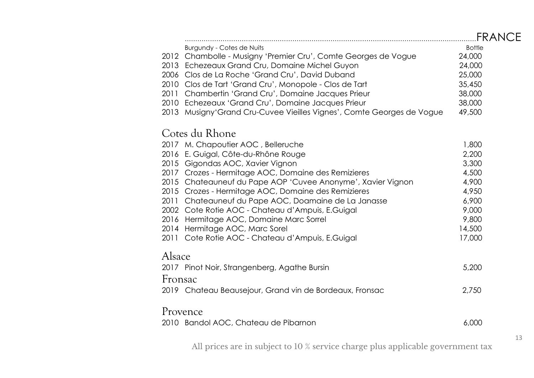|                                                                          | FRANCE        |
|--------------------------------------------------------------------------|---------------|
| Burgundy - Cotes de Nuits                                                | <b>Bottle</b> |
| 2012 Chambolle - Musigny 'Premier Cru', Comte Georges de Vogue           | 24,000        |
| 2013 Echezeaux Grand Cru, Domaine Michel Guyon                           | 24,000        |
| 2006 Clos de La Roche 'Grand Cru', David Duband                          | 25,000        |
| Clos de Tart 'Grand Cru', Monopole - Clos de Tart<br>2010                | 35,450        |
| Chambertin 'Grand Cru', Domaine Jacques Prieur<br>2011                   | 38,000        |
| 2010 Echezeaux 'Grand Cru', Domaine Jacques Prieur                       | 38,000        |
| Musigny'Grand Cru-Cuvee Vieilles Vignes', Comte Georges de Vogue<br>2013 | 49,500        |
| Cotes du Rhone                                                           |               |
| 2017 M. Chapoutier AOC, Belleruche                                       | 1,800         |
| 2016 E. Guigal, Côte-du-Rhône Rouge                                      | 2,200         |
| 2015 Gigondas AOC, Xavier Vignon                                         | 3,300         |
| 2017 Crozes - Hermitage AOC, Domaine des Remizieres                      | 4,500         |
| 2015 Chateauneuf du Pape AOP 'Cuvee Anonyme', Xavier Vignon              | 4,900         |
| 2015 Crozes - Hermitage AOC, Domaine des Remizieres                      | 4,950         |
| Chateauneuf du Pape AOC, Doamaine de La Janasse<br>2011                  | 6,900         |
| 2002 Cote Rotie AOC - Chateau d'Ampuis, E.Guigal                         | 9,000         |
| 2016 Hermitage AOC, Domaine Marc Sorrel                                  | 9,800         |
| 2014 Hermitage AOC, Marc Sorel                                           | 14,500        |
| 2011 Cote Rotie AOC - Chateau d'Ampuis, E.Guigal                         | 17,000        |
| Alsace                                                                   |               |
| 2017 Pinot Noir, Strangenberg, Agathe Bursin                             | 5,200         |
| Fronsac                                                                  |               |
| 2019 Chateau Beausejour, Grand vin de Bordeaux, Fronsac                  | 2,750         |
| Provence                                                                 |               |
| 2010 Bandol AOC, Chateau de Pibarnon                                     | 6,000         |
|                                                                          |               |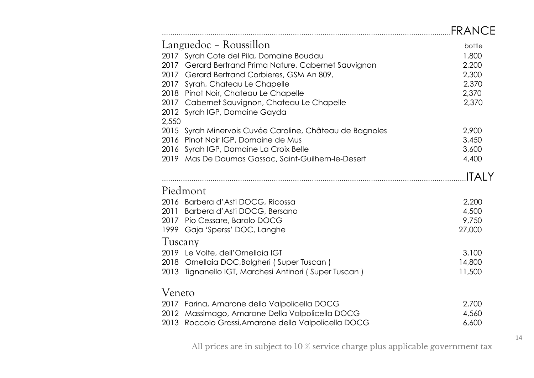|                                                                                                 | FRANCE         |
|-------------------------------------------------------------------------------------------------|----------------|
| Languedoc – Roussillon                                                                          | bottle         |
| 2017 Syrah Cote del Pila, Domaine Boudau                                                        | 1,800          |
| 2017 Gerard Bertrand Prima Nature, Cabernet Sauvignon                                           | 2,200          |
| 2017 Gerard Bertrand Corbieres, GSM An 809,                                                     | 2,300          |
| Syrah, Chateau Le Chapelle<br>2017                                                              | 2,370          |
| 2018 Pinot Noir, Chateau Le Chapelle                                                            | 2,370          |
| 2017 Cabernet Sauvignon, Chateau Le Chapelle                                                    | 2,370          |
| 2012 Syrah IGP, Domaine Gayda                                                                   |                |
| 2,550                                                                                           |                |
| 2015 Syrah Minervois Cuvée Caroline, Château de Bagnoles<br>2016 Pinot Noir IGP, Domaine de Mus | 2,900<br>3,450 |
| 2016 Syrah IGP, Domaine La Croix Belle                                                          | 3,600          |
| Mas De Daumas Gassac, Saint-Guilhem-le-Desert<br>2019                                           | 4,400          |
|                                                                                                 |                |
|                                                                                                 | <b>ITALY</b>   |
| Piedmont                                                                                        |                |
| 2016 Barbera d'Asti DOCG, Ricossa                                                               | 2,200          |
| Barbera d'Asti DOCG, Bersano<br>2011                                                            | 4,500          |
| 2017 Pio Cessare, Barolo DOCG                                                                   | 9,750          |
| 1999 Gaja 'Sperss' DOC, Langhe                                                                  | 27,000         |
| Tuscany                                                                                         |                |
| 2019 Le Volte, dell'Ornellaia IGT                                                               | 3,100          |
| 2018 Ornellaia DOC, Bolgheri (Super Tuscan)                                                     | 14,800         |
| Tignanello IGT, Marchesi Antinori (Super Tuscan)<br>2013                                        | 11,500         |
|                                                                                                 |                |
| Veneto                                                                                          |                |
| 2017 Farina, Amarone della Valpolicella DOCG                                                    | 2,700          |
| Massimago, Amarone Della Valpolicella DOCG<br>2012                                              | 4,560          |
| 2013 Roccolo Grassi, Amarone della Valpolicella DOCG                                            | 6,600          |
|                                                                                                 |                |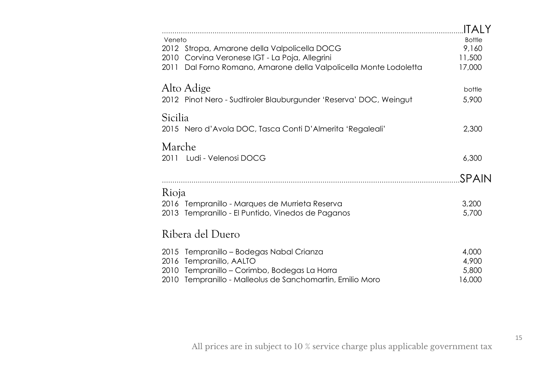|                                                                           | ITAI Y                 |
|---------------------------------------------------------------------------|------------------------|
| Veneto<br>2012 Stropa, Amarone della Valpolicella DOCG                    | <b>Bottle</b><br>9,160 |
| Corvina Veronese IGT - La Poja, Allegrini<br>2010                         | 11,500                 |
| Dal Forno Romano, Amarone della Valpolicella Monte Lodoletta<br>2011      | 17,000                 |
| Alto Adige                                                                |                        |
| 2012 Pinot Nero - Sudtiroler Blauburgunder 'Reserva' DOC, Weingut         | bottle<br>5,900        |
|                                                                           |                        |
| Sicilia                                                                   |                        |
| 2015 Nero d'Avola DOC, Tasca Conti D'Almerita 'Regaleali'                 | 2,300                  |
| Marche                                                                    |                        |
| 2011 Ludi - Velenosi DOCG                                                 | 6,300                  |
|                                                                           |                        |
|                                                                           | SPAIN                  |
| Rioja                                                                     |                        |
| 2016 Tempranillo - Marques de Murrieta Reserva                            | 3,200                  |
| Tempranillo - El Puntido, Vinedos de Paganos<br>2013                      | 5,700                  |
| Ribera del Duero                                                          |                        |
|                                                                           |                        |
| 2015<br>Tempranillo – Bodegas Nabal Crianza<br>Tempranillo, AALTO<br>2016 | 4,000<br>4,900         |
| Tempranillo – Corimbo, Bodegas La Horra<br>2010                           | 5,800                  |
|                                                                           | 16,000                 |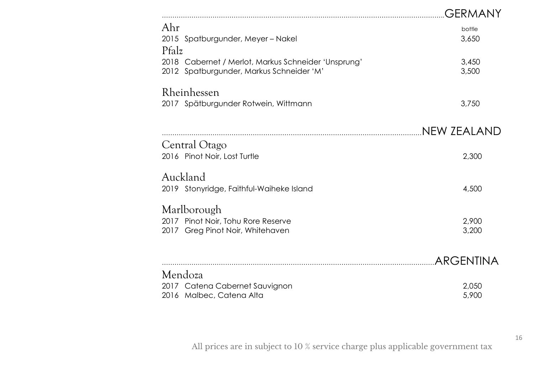|                                                                                                 | GERMANY          |
|-------------------------------------------------------------------------------------------------|------------------|
| Ahr<br>2015 Spatburgunder, Meyer - Nakel<br>Pfalz                                               | bottle<br>3,650  |
| 2018 Cabernet / Merlot, Markus Schneider 'Unsprung'<br>2012 Spatburgunder, Markus Schneider 'M' | 3,450<br>3,500   |
| Rheinhessen<br>2017 Spätburgunder Rotwein, Wittmann                                             | 3,750            |
|                                                                                                 | NEW ZEALAND.     |
| Central Otago<br>2016 Pinot Noir, Lost Turtle                                                   | 2,300            |
| Auckland<br>2019 Stonyridge, Faithful-Waiheke Island                                            | 4,500            |
| Marlborough<br>2017 Pinot Noir, Tohu Rore Reserve<br>2017 Greg Pinot Noir, Whitehaven           | 2,900<br>3,200   |
|                                                                                                 | <b>ARGENTINA</b> |
| Mendoza<br>2017 Catena Cabernet Sauvignon<br>2016 Malbec, Catena Alta                           | 2,050<br>5,900   |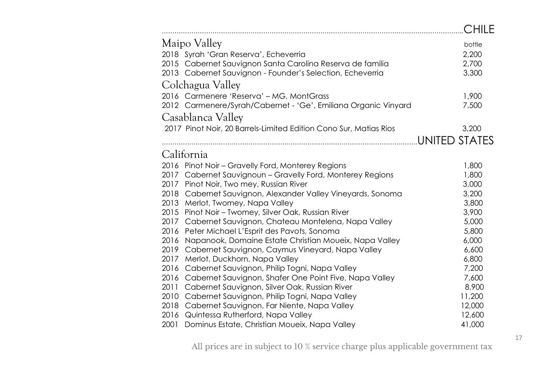|                                                                   | CHILE         |
|-------------------------------------------------------------------|---------------|
| Maipo Valley                                                      | bottle        |
| 2018 Syrah 'Gran Reserva', Echeverria                             | 2,200         |
| 2015 Cabernet Sauvignon Santa Carolina Reserva de familia         | 2,700         |
| 2013 Cabernet Sauvignon - Founder's Selection, Echeverria         | 3,300         |
| Colchagua Valley                                                  |               |
| 2016 Carmenere 'Reserva' - MG, MontGrass                          | 1,900         |
| 2012 Carmenere/Syrah/Cabernet - 'Ge', Emiliana Organic Vinyard    | 7,500         |
| Casablanca Valley                                                 |               |
| 2017 Pinot Noir, 20 Barrels-Limited Edition Cono Sur, Matias Rios | 3,200         |
|                                                                   | UNITED STATES |
|                                                                   |               |
| California                                                        |               |
| 2016 Pinot Noir - Gravelly Ford, Monterey Regions                 | 1,800         |
| 2017 Cabernet Sauvignoun - Gravelly Ford, Monterey Regions        | 1,800         |
| 2017<br>Pinot Noir, Two mey, Russian River                        | 3,000         |
| 2018 Cabernet Sauvignon, Alexander Valley Vineyards, Sonoma       | 3,200         |
| 2013<br>Merlot, Twomey, Napa Valley                               | 3,800         |
| 2015<br>Pinot Noir – Twomey, Silver Oak, Russian River            | 3,900         |
| 2017<br>Cabernet Sauvignon, Chateau Montelena, Napa Valley        | 5,000         |
| Peter Michael L'Esprit des Pavots, Sonoma<br>2016                 | 5,800         |
| Napanook, Domaine Estate Christian Moueix, Napa Valley<br>2016    | 6,000         |
| Cabernet Sauvignon, Caymus Vineyard, Napa Valley<br>2019          | 6,600         |
| 2017<br>Merlot, Duckhorn, Napa Valley                             | 6,800         |
| 2016<br>Cabernet Sauvignon, Philip Togni, Napa Valley             | 7,200         |
| 2016<br>Cabernet Sauvignon, Shafer One Point Five, Napa Valley    | 7,600         |
| 2011<br>Cabernet Sauvignon, Silver Oak, Russian River             | 8,900         |
| 2010<br>Cabernet Sauvignon, Philip Togni, Napa Valley             | 11,200        |
| 2018<br>Cabernet Sauvignon, Far Niente, Napa Valley               | 12,000        |
| Quintessa Rutherford, Napa Valley<br>2016                         | 12,600        |
| 2001<br>Dominus Estate, Christian Moueix, Napa Valley             | 41,000        |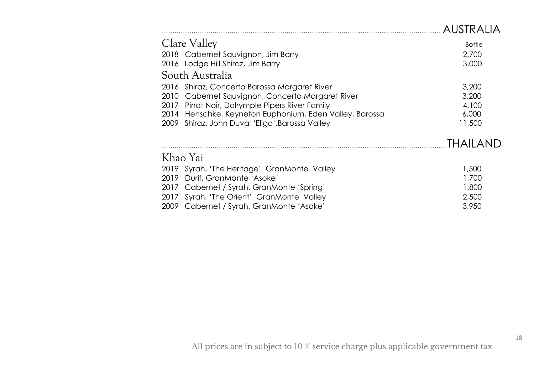|                                                         | <b>AUSTRAILA</b> |
|---------------------------------------------------------|------------------|
| Clare Valley                                            | <b>Bottle</b>    |
| 2018 Cabernet Sauvignon, Jim Barry                      | 2,700            |
| 2016 Lodge Hill Shiraz, Jim Barry                       | 3,000            |
| South Australia                                         |                  |
| 2016 Shiraz, Concerto Barossa Margaret River            | 3,200            |
| Cabernet Sauvignon, Concerto Margaret River<br>2010     | 3,200            |
| Pinot Noir, Dalrymple Pipers River Family<br>2017       | 4,100            |
| 2014 Henschke, Keyneton Euphonium, Eden Valley, Barossa | 6,000            |
| 2009 Shiraz, John Duval 'Eligo', Barossa Valley         | 11,500           |
|                                                         | THAILAND         |
| Khao Yai                                                |                  |
| 2019 Syrah, 'The Heritage' GranMonte Valley             | 1,500            |
| Durif, GranMonte 'Asoke'<br>2019                        | 1,700            |
| Cabernet / Syrah, GranMonte 'Spring'<br>2017            | 1,800            |
| 2017 Syrah, 'The Orient' GranMonte Valley               | 2,500            |
| 2009 Cabernet / Syrah, GranMonte 'Asoke'                | 3,950            |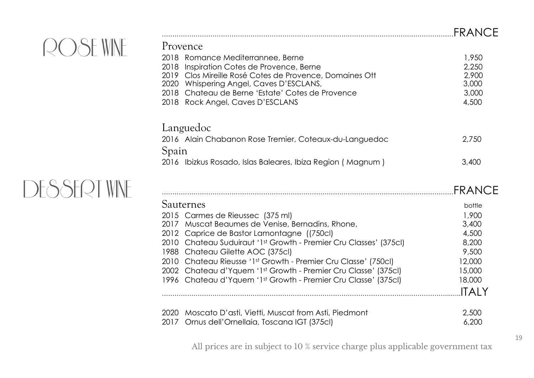|                                                            | FRANCE |
|------------------------------------------------------------|--------|
| Provence                                                   |        |
| 2018 Romance Mediterrannee, Berne                          | 1,950  |
| Inspiration Cotes de Provence, Berne<br>2018               | 2,250  |
| 2019 Clos Mireille Rosé Cotes de Provence, Domaines Ott    | 2,900  |
| Whispering Angel, Caves D'ESCLANS,<br>2020                 | 3,000  |
| 2018 Chateau de Berne 'Estate' Cotes de Provence           | 3,000  |
| 2018 Rock Angel, Caves D'ESCLANS                           | 4,500  |
| Languedoc                                                  |        |
| 2016 Alain Chabanon Rose Tremier, Coteaux-du-Languedoc     | 2,750  |
| Spain                                                      |        |
|                                                            |        |
| 2016 Ibizkus Rosado, Islas Baleares, Ibiza Region (Magnum) | 3,400  |
|                                                            |        |

|                                                                   | <b>FRANCF</b> |
|-------------------------------------------------------------------|---------------|
| Sauternes                                                         | bottle        |
| 2015 Carmes de Rieussec (375 ml)                                  | 1,900         |
| 2017 Muscat Beaumes de Venise, Bernadins, Rhone,                  | 3,400         |
| 2012 Caprice de Bastor Lamontagne ((750cl)                        | 4,500         |
| 2010 Chateau Suduiraut '1st Growth - Premier Cru Classes' (375cl) | 8,200         |
| 1988 Chateau Gilette AOC (375cl)                                  | 9,500         |
| 2010 Chateau Rieusse '1st Growth - Premier Cru Classe' (750cl)    | 12,000        |
| 2002 Chateau d'Yquem '1st Growth - Premier Cru Classe' (375cl)    | 15,000        |
| 1996 Chateau d'Yquem '1st Growth - Premier Cru Classe' (375cl)    | 18,000        |
|                                                                   | <b>ITAIY</b>  |
| Moscato D'asti, Vietti, Muscat from Asti, Piedmont<br>2020        | 2,500         |
| 2017<br>Ornus dell'Ornellaia, Toscana IGT (375cl)                 | 6,200         |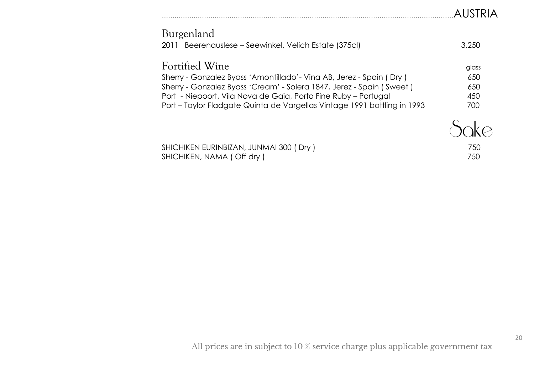| Burgenland<br>2011 Beerenauslese – Seewinkel, Velich Estate (375cl)                                                                                                                                                                                                                                          | 3.250                             |
|--------------------------------------------------------------------------------------------------------------------------------------------------------------------------------------------------------------------------------------------------------------------------------------------------------------|-----------------------------------|
| Fortified Wine<br>Sherry - Gonzalez Byass 'Amontillado' - Vina AB, Jerez - Spain (Dry)<br>Sherry - Gonzalez Byass 'Cream' - Solera 1847, Jerez - Spain (Sweet)<br>Port - Niepoort, Vila Nova de Gaia, Porto Fine Ruby - Portugal<br>Port – Taylor Fladgate Quinta de Vargellas Vintage 1991 bottling in 1993 | glass<br>650<br>650<br>450<br>700 |
|                                                                                                                                                                                                                                                                                                              |                                   |

| SHICHIKEN EURINBIZAN, JUNMAI 300 (Dry) | 75C |
|----------------------------------------|-----|
| SHICHIKEN, NAMA (Off dry)              | 750 |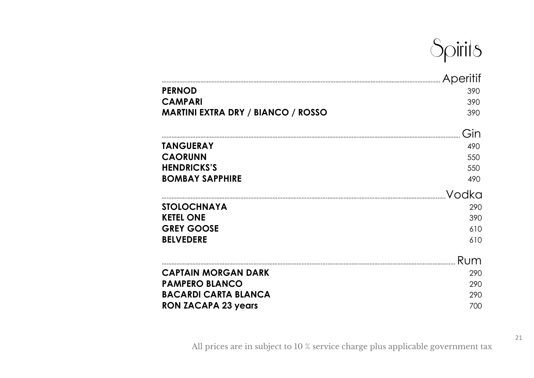

|                                           | Aperitif |
|-------------------------------------------|----------|
| <b>PERNOD</b>                             | 390      |
| <b>CAMPARI</b>                            | 390      |
| <b>MARTINI EXTRA DRY / BIANCO / ROSSO</b> | 390      |
|                                           | Gin      |
| <b>TANGUERAY</b>                          | 490      |
| <b>CAORUNN</b>                            | 550      |
| <b>HENDRICKS'S</b>                        | 550      |
| <b>BOMBAY SAPPHIRE</b>                    | 490      |
|                                           | Vodka    |
| <b>STOLOCHNAYA</b>                        | 290      |
| <b>KETEL ONE</b>                          | 390      |
| <b>GREY GOOSE</b>                         | 610      |
| <b>BELVEDERE</b>                          | 610      |
|                                           | Rum      |
| <b>CAPTAIN MORGAN DARK</b>                | 290      |
| <b>PAMPERO BLANCO</b>                     | 290      |
| <b>BACARDI CARTA BLANCA</b>               | 290      |
| <b>RON ZACAPA 23 years</b>                | 700      |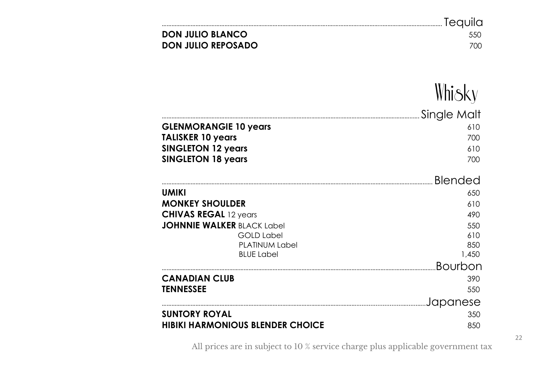| <b>DON JULIO BLANCO</b> | -550 |
|-------------------------|------|
| DON JULIO REPOSADO      | 700  |

Whisky

|                                         | Single Malt    |
|-----------------------------------------|----------------|
| <b>GLENMORANGIE 10 years</b>            | 610            |
| <b>TALISKER 10 years</b>                | 700            |
| <b>SINGLETON 12 years</b>               | 610            |
| <b>SINGLETON 18 years</b>               | 700            |
|                                         | <b>Blended</b> |
| <b>UMIKI</b>                            | 650            |
| <b>MONKEY SHOULDER</b>                  | 610            |
| <b>CHIVAS REGAL 12 years</b>            | 490            |
| <b>JOHNNIE WALKER BLACK Label</b>       | 550            |
| <b>GOLD Label</b>                       | 610            |
| <b>PLATINUM Label</b>                   | 850            |
| <b>BLUE Label</b>                       | 1,450          |
|                                         | Bourbon        |
| <b>CANADIAN CLUB</b>                    | 390            |
| <b>TENNESSEE</b>                        | 550            |
|                                         | Japanese       |
| <b>SUNTORY ROYAL</b>                    | 350            |
| <b>HIBIKI HARMONIOUS BLENDER CHOICE</b> | 850            |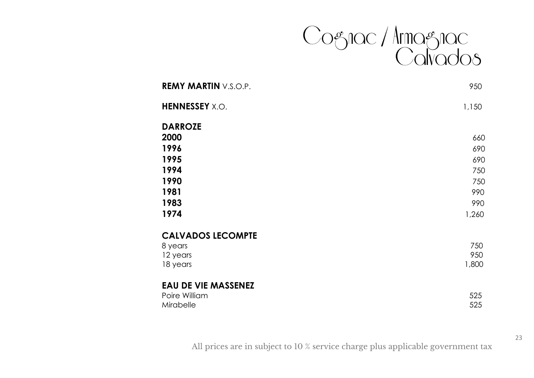

| <b>REMY MARTIN V.S.O.P.</b> | 950   |
|-----------------------------|-------|
| <b>HENNESSEY</b> X.O.       | 1,150 |
| <b>DARROZE</b>              |       |
| 2000                        | 660   |
| 1996                        | 690   |
| 1995                        | 690   |
| 1994                        | 750   |
| 1990                        | 750   |
| 1981                        | 990   |
| 1983                        | 990   |
| 1974                        | 1,260 |
| <b>CALVADOS LECOMPTE</b>    |       |
| 8 years                     | 750   |
| 12 years                    | 950   |
| 18 years                    | 1,800 |
| <b>EAU DE VIE MASSENEZ</b>  |       |
| Poire William               | 525   |

Mirabelle 525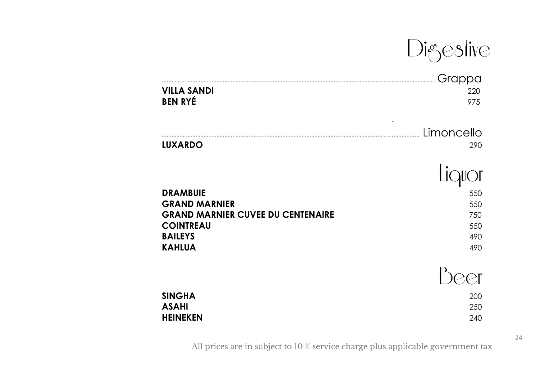Digestive

| <b>VILLA SANDI</b><br><b>BEN RYÉ</b>     | Grappa<br>220<br>975   |
|------------------------------------------|------------------------|
| <b>LUXARDO</b>                           | ٠<br>Limoncello<br>290 |
|                                          |                        |
| <b>DRAMBUIE</b>                          | 550                    |
| <b>GRAND MARNIER</b>                     | 550                    |
| <b>GRAND MARNIER CUVEE DU CENTENAIRE</b> | 750                    |
| <b>COINTREAU</b>                         | 550                    |
| <b>BAILEYS</b><br><b>KAHLUA</b>          | 490<br>490             |
|                                          |                        |
|                                          |                        |
| <b>SINGHA</b>                            | 200                    |
| <b>ASAHI</b>                             | 250                    |
| <b>HEINEKEN</b>                          | 240                    |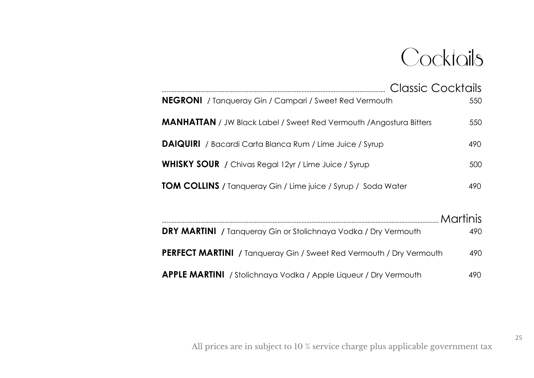# Cocktoils

| <b>NEGRONI</b> / Tanqueray Gin / Campari / Sweet Red Vermouth              | 550             |
|----------------------------------------------------------------------------|-----------------|
|                                                                            |                 |
| <b>MANHATTAN</b> / JW Black Label / Sweet Red Vermouth / Angostura Bitters | 550             |
| <b>DAIQUIRI</b> / Bacardi Carta Blanca Rum / Lime Juice / Syrup            | 490             |
| <b>WHISKY SOUR</b> / Chivas Regal 12yr / Lime Juice / Syrup                | 500             |
| <b>TOM COLLINS</b> / Tanqueray Gin / Lime juice / Syrup / Soda Water       | 490             |
|                                                                            | <b>Martinis</b> |
|                                                                            |                 |
| <b>DRY MARTINI</b> / Tanqueray Gin or Stolichnaya Vodka / Dry Vermouth     | 490             |
| PERFECT MARTINI / Tanqueray Gin / Sweet Red Vermouth / Dry Vermouth        | 490             |
| <b>APPLE MARTINI</b> / Stolichnaya Vodka / Apple Liqueur / Dry Vermouth    | 490             |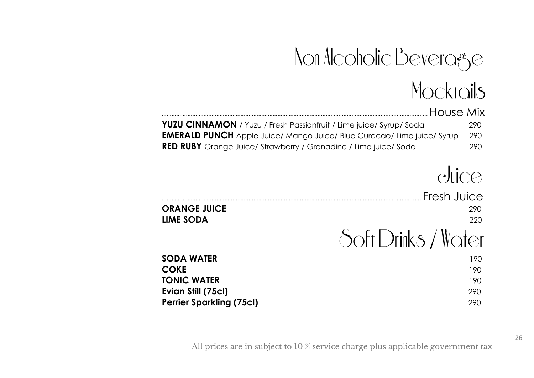# Non Alcoholic Beverage<br>Mocktails

| House Mix                                                                      |      |
|--------------------------------------------------------------------------------|------|
| <b>YUZU CINNAMON</b> / Yuzu / Fresh Passionfruit / Lime juice/ Syrup/ Soda     | 290. |
| <b>EMERALD PUNCH</b> Apple Juice/ Mango Juice/ Blue Curacao/ Lime juice/ Syrup | -290 |
| <b>RED RUBY</b> Orange Juice/ Strawberry / Grenadine / Lime juice/ Soda        | 290. |

## duice

| <b>ORANGE JUICE</b><br><b>LIME SODA</b> | Fresh Juice<br>290<br>220 |
|-----------------------------------------|---------------------------|
|                                         | Soft Drinks / Water       |
| <b>SODA WATER</b>                       | 190                       |
| <b>COKE</b>                             | 190                       |
| <b>TONIC WATER</b>                      | 190                       |
| Evian Still (75cl)                      | 290                       |
| <b>Perrier Sparkling (75cl)</b>         | 290                       |